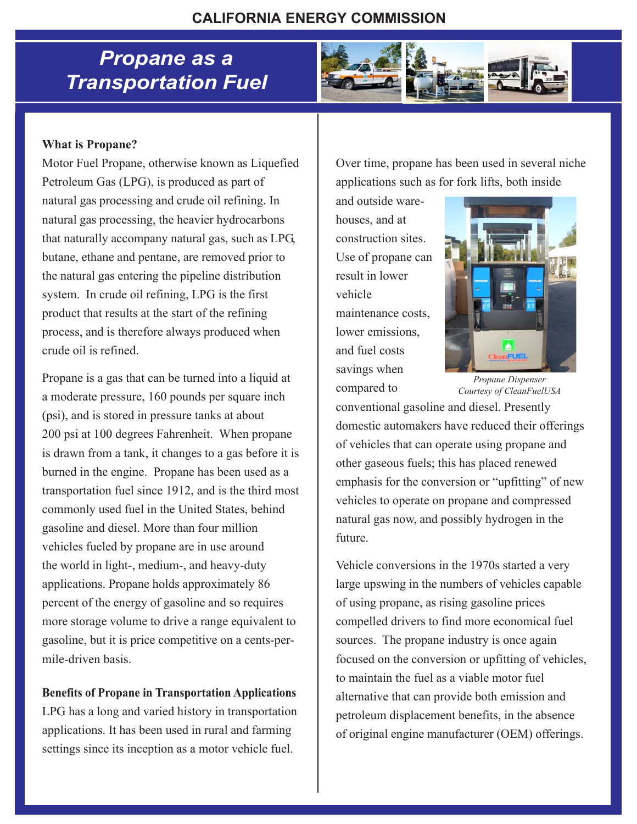## **CALIFORNIA ENERGY COMMISSION**

## *Propane as a Transportation Fuel*



#### **What is Propane?**

Motor Fuel Propane, otherwise known as Liquefied Petroleum Gas (LPG), is produced as part of natural gas processing and crude oil refining. In natural gas processing, the heavier hydrocarbons that naturally accompany natural gas, such as LPG, butane, ethane and pentane, are removed prior to the natural gas entering the pipeline distribution system. In crude oil refining, LPG is the first product that results at the start of the refining process, and is therefore always produced when crude oil is refined.

Propane is a gas that can be turned into a liquid at a moderate pressure, 160 pounds per square inch (psi), and is stored in pressure tanks at about 200 psi at 100 degrees Fahrenheit. When propane is drawn from a tank, it changes to a gas before it is burned in the engine. Propane has been used as a transportation fuel since 1912, and is the third most commonly used fuel in the United States, behind gasoline and diesel. More than four million vehicles fueled by propane are in use around the world in light-, medium-, and heavy-duty applications. Propane holds approximately 86 percent of the energy of gasoline and so requires more storage volume to drive a range equivalent to gasoline, but it is price competitive on a cents-permile-driven basis.

**Benefits of Propane in Transportation Applications** LPG has a long and varied history in transportation applications. It has been used in rural and farming settings since its inception as a motor vehicle fuel.

Over time, propane has been used in several niche applications such as for fork lifts, both inside

and outside warehouses, and at construction sites. Use of propane can result in lower vehicle maintenance costs, lower emissions, and fuel costs savings when compared to



*Propane Dispenser Courtesy of CleanFuelUSA*

conventional gasoline and diesel. Presently domestic automakers have reduced their offerings of vehicles that can operate using propane and other gaseous fuels; this has placed renewed emphasis for the conversion or "upfitting" of new vehicles to operate on propane and compressed natural gas now, and possibly hydrogen in the future.

Vehicle conversions in the 1970s started a very large upswing in the numbers of vehicles capable of using propane, as rising gasoline prices compelled drivers to find more economical fuel sources. The propane industry is once again focused on the conversion or upfitting of vehicles, to maintain the fuel as a viable motor fuel alternative that can provide both emission and petroleum displacement benefits, in the absence of original engine manufacturer (OEM) offerings.